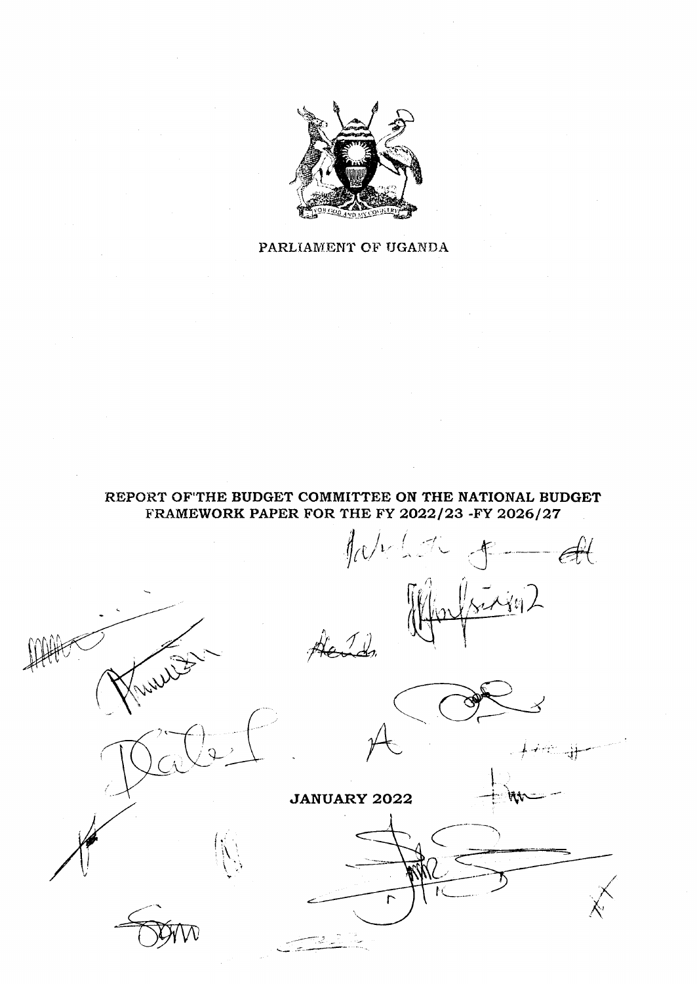

# PARLIAMENT OF UGANDA

# REPORT OF THE BUDGET COMMITTEE ON THE NATIONAL BUDGET FRAMEWORK PAPER FOR THE FY 2022/23 -FY 2026/27

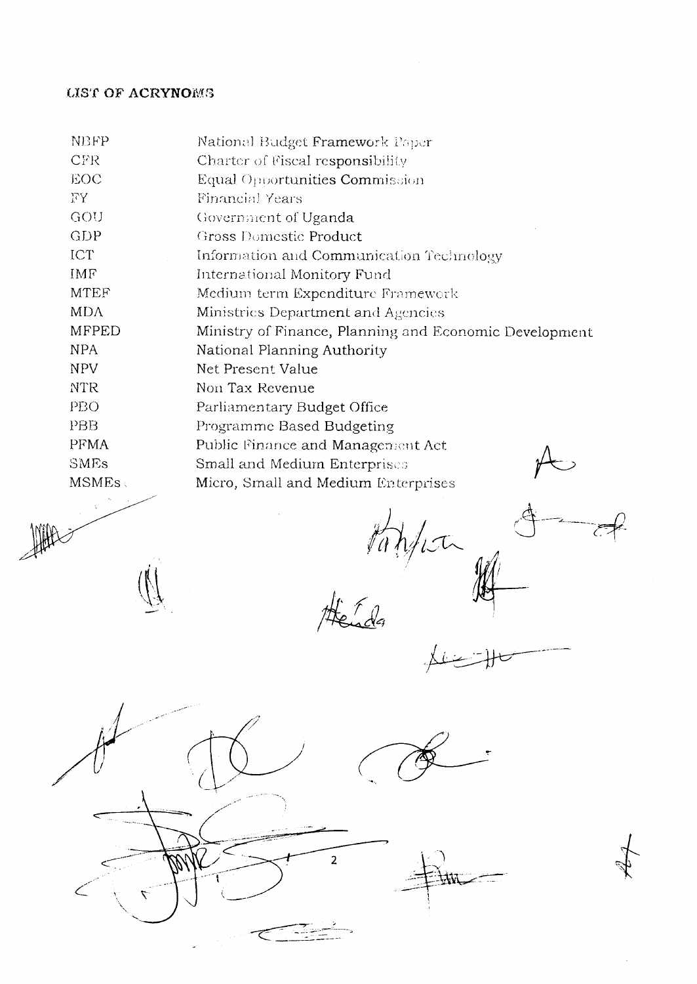# **LIST OF ACRYNOMS**

| <b>NBFP</b>  | National Budget Framework Paper                        |
|--------------|--------------------------------------------------------|
| CFR.         | Charter of Fiscal responsibility                       |
| <b>EOC</b>   | Equal Opportunities Commission                         |
| FY.          | <b>Financial Years</b>                                 |
| GOU          | Government of Uganda                                   |
| <b>GDP</b>   | Gross Domestic Product                                 |
| ICT          | Information and Communication Technology               |
| IMF          | International Monitory Fund                            |
| <b>MTEF</b>  | Medium term Expenditure Framework                      |
| <b>MDA</b>   | Ministries Department and Agencies                     |
| <b>MFPED</b> | Ministry of Finance, Planning and Economic Development |
| <b>NPA</b>   | National Planning Authority                            |
| <b>NPV</b>   | Net Present Value                                      |
| <b>NTR</b>   | Non Tax Revenue                                        |
| PBO          | Parliamentary Budget Office                            |
| PBB          | Programme Based Budgeting                              |
| <b>PFMA</b>  | Public Finance and Management Act                      |
| <b>SMEs</b>  | Small and Medium Enterprises                           |
| <b>MSMEs</b> | Micro, Small and Medium Enterprises                    |
|              |                                                        |
|              |                                                        |

tappen

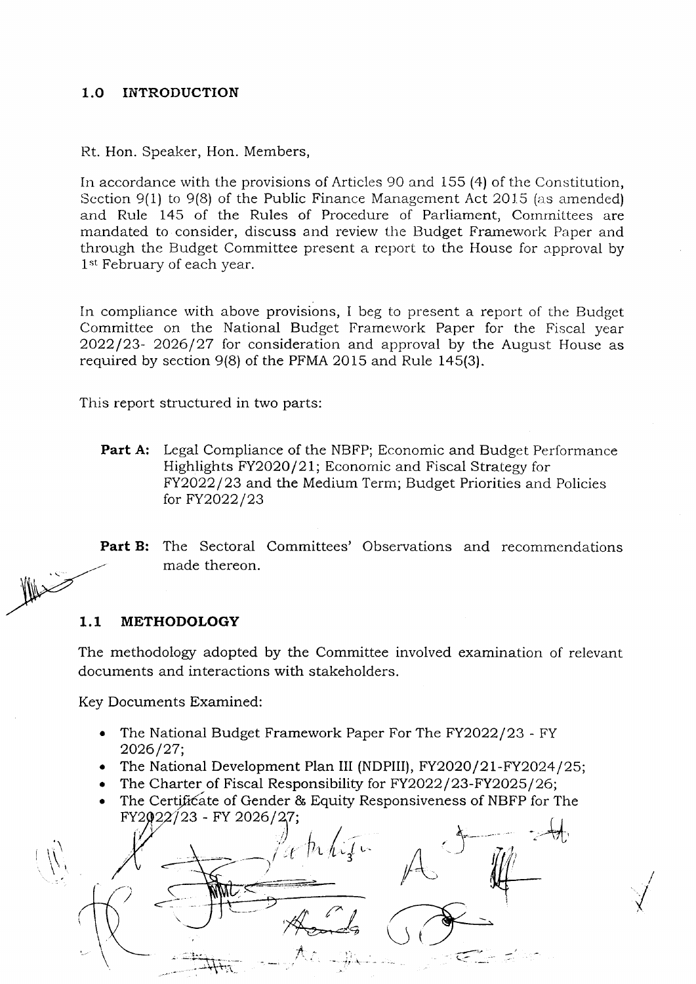#### $1.0<sub>l</sub>$ **INTRODUCTION**

Rt. Hon. Speaker, Hon. Members,

In accordance with the provisions of Articles 90 and 155 (4) of the Constitution, Section 9(1) to 9(8) of the Public Finance Management Act 2015 (as amended) and Rule 145 of the Rules of Procedure of Parliament, Committees are mandated to consider, discuss and review the Budget Framework Paper and through the Budget Committee present a report to the House for approval by 1<sup>st</sup> February of each year.

In compliance with above provisions, I beg to present a report of the Budget Committee on the National Budget Framework Paper for the Fiscal year  $2022/23$ - 2026/27 for consideration and approval by the August House as required by section 9(8) of the PFMA 2015 and Rule 145(3).

This report structured in two parts:

Part A: Legal Compliance of the NBFP; Economic and Budget Performance Highlights FY2020/21; Economic and Fiscal Strategy for FY2022/23 and the Medium Term; Budget Priorities and Policies for FY2022/23

The Sectoral Committees' Observations and recommendations Part B: made thereon.

#### **METHODOLOGY**  $1.1$

The methodology adopted by the Committee involved examination of relevant documents and interactions with stakeholders.

Key Documents Examined:

- The National Budget Framework Paper For The FY2022/23 FY  $\bullet$ 2026/27;
- The National Development Plan III (NDPIII), FY2020/21-FY2024/25;
- The Charter of Fiscal Responsibility for FY2022/23-FY2025/26;  $\bullet$
- The Certificate of Gender & Equity Responsiveness of NBFP for The FY2022/23 - FY 2026/27;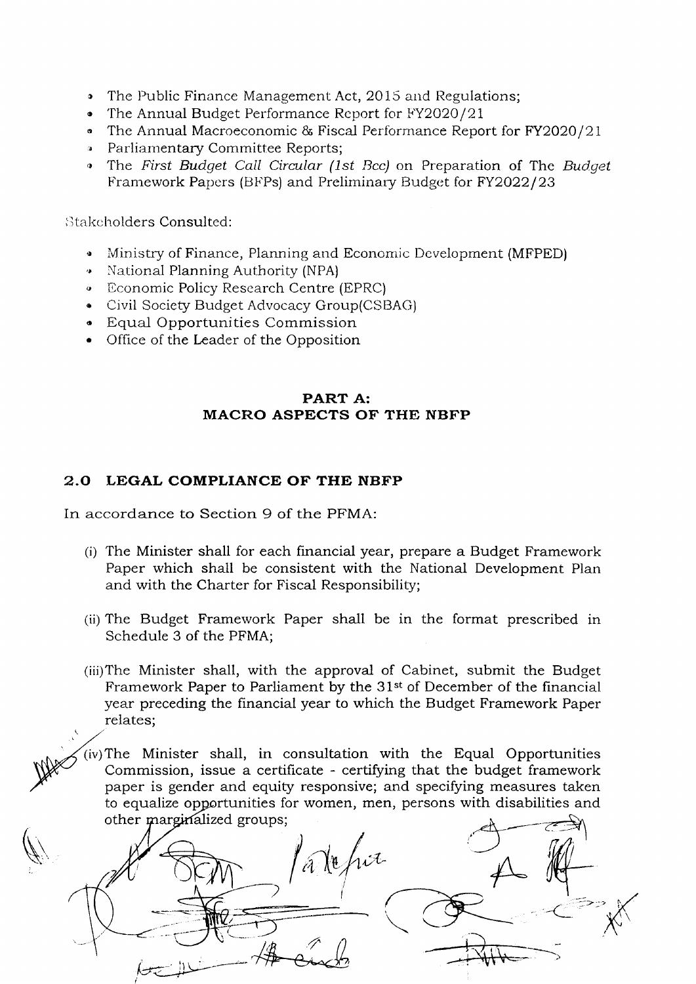- The Public Finance Management Act, 2015 and Regulations;  $\bullet$
- The Annual Budget Performance Report for FY2020/21
- The Annual Macroeconomic & Fiscal Performance Report for FY2020/21
- Parliamentary Committee Reports:
- The First Budget Call Circular (1st Bcc) on Preparation of The Budget Framework Papers (BFPs) and Preliminary Budget for FY2022/23

Stakeholders Consulted:

- Ministry of Finance, Planning and Economic Development (MFPED)
- National Planning Authority (NPA)
- **Economic Policy Research Centre (EPRC)**
- Civil Society Budget Advocacy Group(CSBAG)
- Equal Opportunities Commission
- Office of the Leader of the Opposition

# PART A: **MACRO ASPECTS OF THE NBFP**

# 2.0 LEGAL COMPLIANCE OF THE NBFP

In accordance to Section 9 of the PFMA:

- (i) The Minister shall for each financial year, prepare a Budget Framework Paper which shall be consistent with the National Development Plan and with the Charter for Fiscal Responsibility;
- (ii) The Budget Framework Paper shall be in the format prescribed in Schedule 3 of the PFMA;
- (iii) The Minister shall, with the approval of Cabinet, submit the Budget Framework Paper to Parliament by the 31<sup>st</sup> of December of the financial year preceding the financial year to which the Budget Framework Paper relates;
- $(iv)$  The Minister shall, in consultation with the Equal Opportunities Commission, issue a certificate - certifying that the budget framework paper is gender and equity responsive; and specifying measures taken to equalize opportunities for women, men, persons with disabilities and other marginalized groups;

Ne frit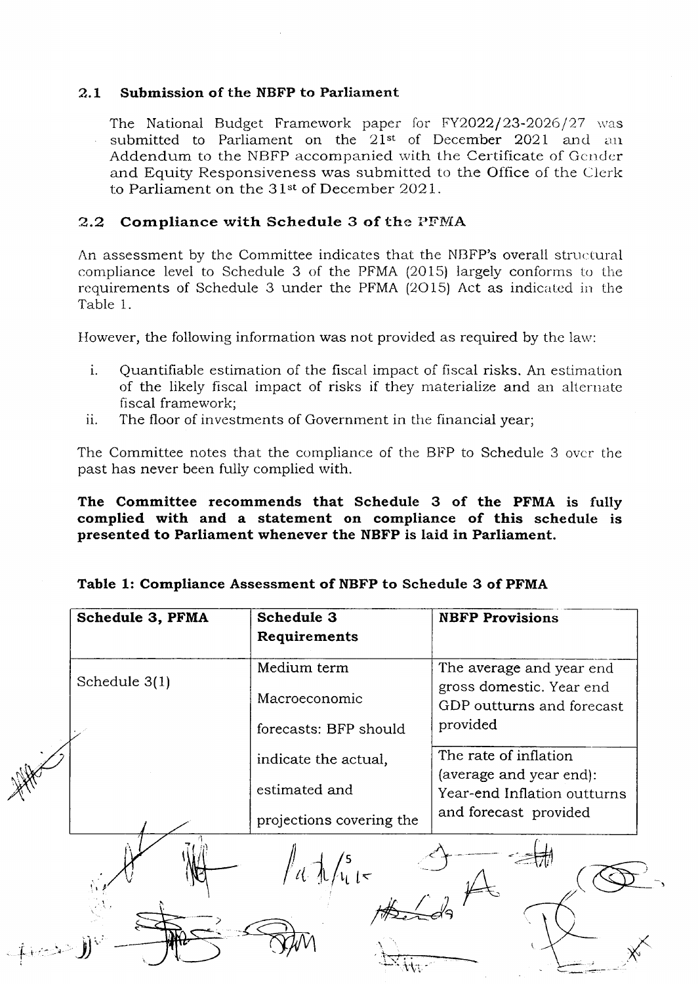#### $2.1$ Submission of the NBFP to Parliament

The National Budget Framework paper for FY2022/23-2026/27 was submitted to Parliament on the 21<sup>st</sup> of December 2021 and an Addendum to the NBFP accompanied with the Certificate of Gender and Equity Responsiveness was submitted to the Office of the Clerk to Parliament on the 31<sup>st</sup> of December 2021.

# 2.2 Compliance with Schedule 3 of the PFMA

An assessment by the Committee indicates that the NBFP's overall structural compliance level to Schedule 3 of the PFMA (2015) largely conforms to the requirements of Schedule 3 under the PFMA (2015) Act as indicated in the Table 1.

However, the following information was not provided as required by the law:

- $i$ . Quantifiable estimation of the fiscal impact of fiscal risks. An estimation of the likely fiscal impact of risks if they materialize and an alternate fiscal framework:
- $ii.$ The floor of investments of Government in the financial year;

The Committee notes that the compliance of the BFP to Schedule 3 over the past has never been fully complied with.

The Committee recommends that Schedule 3 of the PFMA is fully complied with and a statement on compliance of this schedule is presented to Parliament whenever the NBFP is laid in Parliament.

# Table 1: Compliance Assessment of NBFP to Schedule 3 of PFMA

| Schedule 3, PFMA | Schedule 3               | <b>NBFP Provisions</b>                                |
|------------------|--------------------------|-------------------------------------------------------|
|                  | Requirements             |                                                       |
|                  | Medium term              | The average and year end                              |
| Schedule 3(1)    | Macroeconomic            | gross domestic. Year end<br>GDP outturns and forecast |
|                  | forecasts: BFP should    | provided                                              |
|                  | indicate the actual,     | The rate of inflation<br>(average and year end):      |
|                  | estimated and            | Year-end Inflation outturns                           |
|                  | projections covering the | and forecast provided                                 |
|                  | $\frac{1}{4}$            |                                                       |
|                  |                          |                                                       |
|                  |                          |                                                       |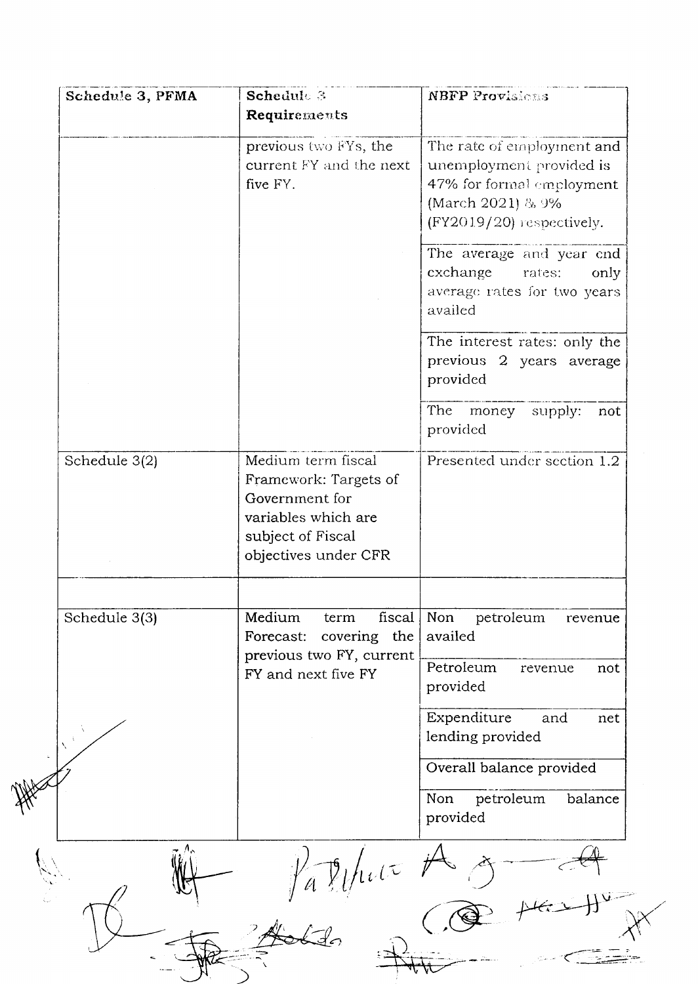| previous two FYs, the<br>current FY and the next<br>five FY.<br>exchange<br>availed<br>provided<br>provided<br>Medium term fiscal<br>Schedule 3(2)<br>Framework: Targets of<br>Government for<br>variables which are<br>subject of Fiscal<br>objectives under CFR<br>Schedule 3(3)<br>Medium<br>fiscal<br>Non<br>term<br>availed | The rate of employment and<br>unemployment provided is<br>47% for formal employment<br>(March 2021) & 9%<br>$(FY2019/20)$ respectively.<br>The average and year end<br>rates:<br>only<br>average rates for two years<br>The interest rates: only the<br>previous 2 years average<br>The money supply:<br>not |
|----------------------------------------------------------------------------------------------------------------------------------------------------------------------------------------------------------------------------------------------------------------------------------------------------------------------------------|--------------------------------------------------------------------------------------------------------------------------------------------------------------------------------------------------------------------------------------------------------------------------------------------------------------|
|                                                                                                                                                                                                                                                                                                                                  |                                                                                                                                                                                                                                                                                                              |
|                                                                                                                                                                                                                                                                                                                                  |                                                                                                                                                                                                                                                                                                              |
|                                                                                                                                                                                                                                                                                                                                  |                                                                                                                                                                                                                                                                                                              |
|                                                                                                                                                                                                                                                                                                                                  | Presented under section 1.2                                                                                                                                                                                                                                                                                  |
| covering the<br>Forecast:                                                                                                                                                                                                                                                                                                        | petroleum<br>revenue                                                                                                                                                                                                                                                                                         |
| previous two FY, current<br>Petroleum<br>FY and next five FY<br>provided                                                                                                                                                                                                                                                         | revenue<br>not                                                                                                                                                                                                                                                                                               |
| Expenditure<br>lending provided                                                                                                                                                                                                                                                                                                  | and<br>net                                                                                                                                                                                                                                                                                                   |
| Non<br>provided                                                                                                                                                                                                                                                                                                                  | Overall balance provided<br>petroleum<br>balance                                                                                                                                                                                                                                                             |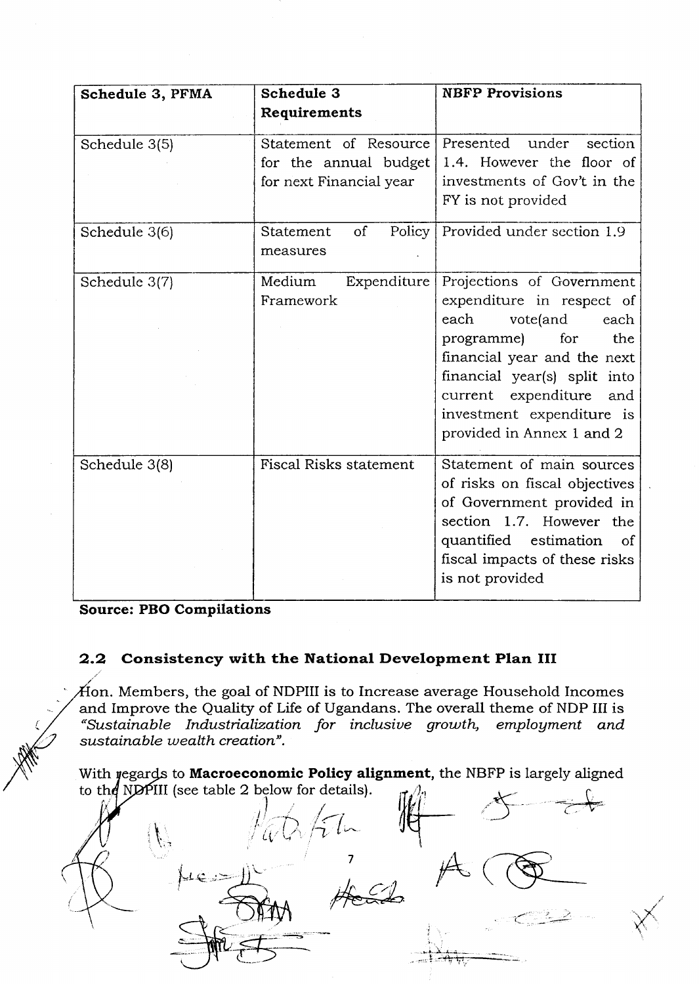| Schedule 3, PFMA | Schedule 3                                                                | <b>NBFP Provisions</b>                                                                                                                                                                                                                                             |
|------------------|---------------------------------------------------------------------------|--------------------------------------------------------------------------------------------------------------------------------------------------------------------------------------------------------------------------------------------------------------------|
|                  | Requirements                                                              |                                                                                                                                                                                                                                                                    |
| Schedule 3(5)    | Statement of Resource<br>for the annual budget<br>for next Financial year | Presented under<br>section<br>1.4. However the floor of<br>investments of Gov't in the<br>FY is not provided                                                                                                                                                       |
| Schedule 3(6)    | <sub>of</sub><br>Policy<br>Statement<br>measures                          | Provided under section 1.9                                                                                                                                                                                                                                         |
| Schedule 3(7)    | Medium<br>Expenditure<br>Framework                                        | Projections of Government<br>expenditure in respect of<br>each<br>vote(and<br>each<br>programme)<br>for<br>the<br>financial year and the next<br>financial year(s) split into<br>current expenditure and<br>investment expenditure is<br>provided in Annex 1 and 2 |
| Schedule 3(8)    | <b>Fiscal Risks statement</b>                                             | Statement of main sources<br>of risks on fiscal objectives<br>of Government provided in<br>section 1.7. However the<br>quantified estimation<br><sub>of</sub><br>fiscal impacts of these risks<br>is not provided                                                  |

Source: PBO Compilations

# 2.2 Consistency with the National Development Plan III

. Members, the goal of NDPIII is to Increase average Household Incomes and Improve the Quality of Life of Ugandans. The overall theme of NDP III is "Sustainable Industialization for inclusiue grouth, emplogment and sustainable wealth creation".

With regards to **Macroeconomic Policy alignment**, the NBFP is largely aligned<br>to the NDPIII (see table 2 below for details).<br> $\iiint$ to the NDPIII (see table 2 below for details).

 $\sim$   $\sim$   $\sim$   $\sim$  $Q\sqrt{\dot{\gamma}}$  ln 7 -)(v  $A$  $\int$ f=r I  $\therefore$  .  $\frac{1}{\sqrt{2}}$  ,  $\frac{1}{\sqrt{2}}$  ,  $\frac{1}{\sqrt{2}}$  ,  $\frac{1}{\sqrt{2}}$ -\_'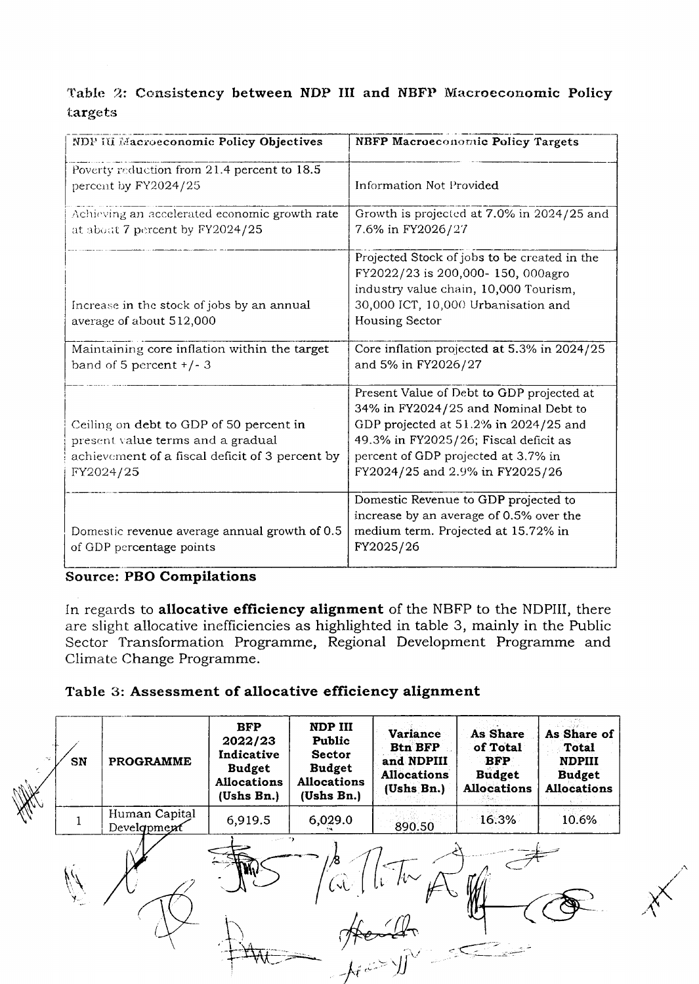# Table 2: Consistency between NDP III and NBFP Macroeconomic Policy targets

| NDP III Macroeconomic Policy Objectives                                                                                                      | <b>NBFP Macroeconomic Policy Targets</b>                                                                                                                                                                                                      |
|----------------------------------------------------------------------------------------------------------------------------------------------|-----------------------------------------------------------------------------------------------------------------------------------------------------------------------------------------------------------------------------------------------|
| Poverty reduction from 21.4 percent to 18.5<br>percent by FY2024/25                                                                          | <b>Information Not Provided</b>                                                                                                                                                                                                               |
| Achieving an accelerated economic growth rate<br>at about 7 percent by FY2024/25                                                             | Growth is projected at 7.0% in 2024/25 and<br>7.6% in FY2026/27                                                                                                                                                                               |
| Increase in the stock of jobs by an annual<br>average of about 512,000                                                                       | Projected Stock of jobs to be created in the<br>FY2022/23 is 200,000-150, 000agro<br>industry value chain, 10,000 Tourism,<br>30,000 ICT, 10,000 Urbanisation and<br><b>Housing Sector</b>                                                    |
| Maintaining core inflation within the target<br>band of 5 percent $+/-3$                                                                     | Core inflation projected at 5.3% in 2024/25<br>and 5% in FY2026/27                                                                                                                                                                            |
| Ceiling on debt to GDP of 50 percent in<br>present value terms and a gradual<br>achievement of a fiscal deficit of 3 percent by<br>FY2024/25 | Present Value of Debt to GDP projected at<br>34% in FY2024/25 and Nominal Debt to<br>GDP projected at 51.2% in 2024/25 and<br>49.3% in FY2025/26; Fiscal deficit as<br>percent of GDP projected at 3.7% in<br>FY2024/25 and 2.9% in FY2025/26 |
| Domestic revenue average annual growth of 0.5<br>of GDP percentage points                                                                    | Domestic Revenue to GDP projected to<br>increase by an average of 0.5% over the<br>medium term. Projected at 15.72% in<br>FY2025/26                                                                                                           |

# Source: PBO Compilations

In regards to allocative efficiency alignment of the NBFP to the NDPIII, there are slight allocative inefficiencies as highlighted in table 3, mainly in the Public Sector Transformation Programme, Regional Development Programme and Climate Change Programme.

# Table 3: Assessment of allocative efficiency alignment

| ing. | SN | <b>PROGRAMME</b>             | <b>BFP</b><br>2022/23<br>Indicative<br><b>Budget</b><br><b>Allocations</b><br>(Ushs Bn.) | NDP III<br>Public<br><b>Sector</b><br><b>Budget</b><br><b>Allocations</b><br>(Ushs Bn.) | <b>Variance</b><br><b>Btn BFP</b><br>and NDPIII<br><b>Allocations</b><br>(Ushs Bn.) | As Share<br>of Total<br><b>BFP</b><br><b>Budget</b><br><b>Allocations</b> | di u sudistr<br>As Share of<br><b>Total</b><br><b>NDPIII</b><br><b>Budget</b><br><b>Allocations</b> |
|------|----|------------------------------|------------------------------------------------------------------------------------------|-----------------------------------------------------------------------------------------|-------------------------------------------------------------------------------------|---------------------------------------------------------------------------|-----------------------------------------------------------------------------------------------------|
|      |    | Human Capital<br>Development | 6,919.5                                                                                  | 6,029.0                                                                                 | 890.50                                                                              | 16.3%                                                                     | 10.6%                                                                                               |
|      |    |                              | وحاديث                                                                                   | /8<br>(x)<br>$-\int_{f e^{2\pi i x}}^{f e^{2\pi i x}}$                                  | $h{\sim}$                                                                           |                                                                           |                                                                                                     |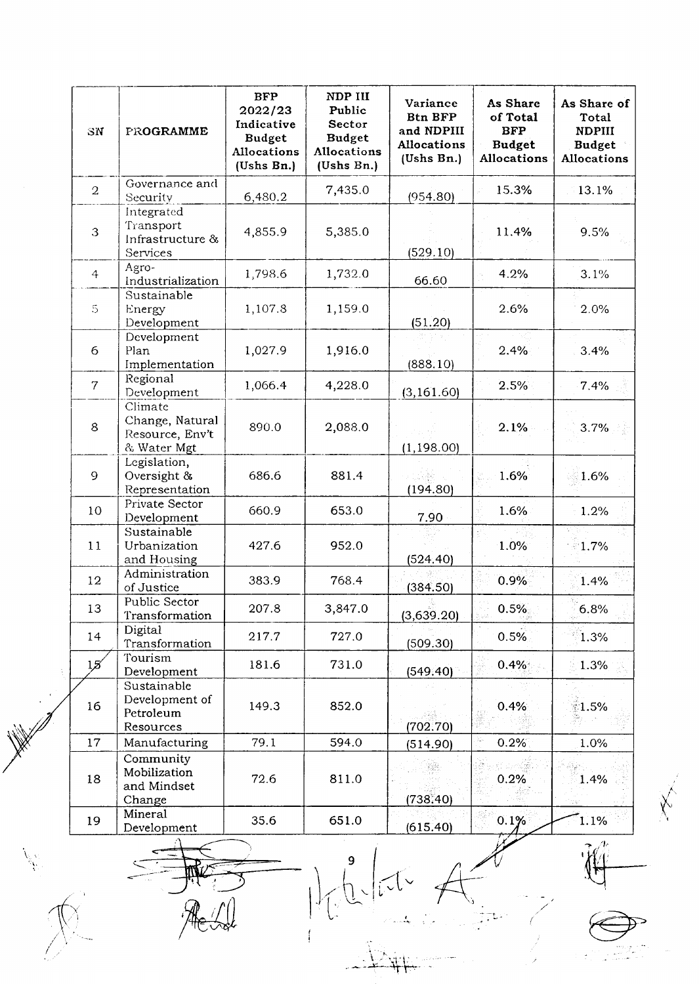| SN              | PROGRAMME                                                    | <b>BFP</b><br>2022/23<br>Indicative<br><b>Budget</b><br>Allocations<br>(Ushs Bn.) | NDP III<br>Public<br>Sector<br><b>Budget</b><br>Allocations<br>(Ushs Bn.) | Variance<br><b>Btn BFP</b><br>and NDPIII<br><b>Allocations</b><br>(Ushs Bn.) | As Share<br>of Total<br><b>BFP</b><br><b>Budget</b><br>Allocations | As Share of<br>Total<br><b>NDPIII</b><br><b>Budget</b><br>Allocations |
|-----------------|--------------------------------------------------------------|-----------------------------------------------------------------------------------|---------------------------------------------------------------------------|------------------------------------------------------------------------------|--------------------------------------------------------------------|-----------------------------------------------------------------------|
| $\overline{2}$  | Governance and<br>Security                                   | 6,480.2                                                                           | 7,435.0                                                                   | (954.80)                                                                     | 15.3%                                                              | 13.1%                                                                 |
| 3               | Integrated<br>Transport<br>Infrastructure &<br>Services      | 4,855.9                                                                           | 5,385.0                                                                   | (529.10)                                                                     | 11.4%                                                              | 9.5%                                                                  |
| $\overline{4}$  | Agro-<br>Industrialization                                   | 1,798.6                                                                           | 1,732.0                                                                   | 66.60                                                                        | 4.2%                                                               | 3.1%                                                                  |
| $\mathfrak{S}$  | Sustainable<br>Energy<br>Development                         | 1,107.8                                                                           | 1,159.0                                                                   | (51.20)                                                                      | 2.6%                                                               | 2.0%                                                                  |
| 6               | Development<br>Plan<br>Implementation                        | 1,027.9                                                                           | 1,916.0                                                                   | (888.10)                                                                     | 2.4%                                                               | 3.4%                                                                  |
| $\overline{7}$  | Regional<br>Development                                      | 1,066.4                                                                           | 4,228.0                                                                   | (3, 161.60)                                                                  | 2.5%                                                               | 7.4%                                                                  |
| 8               | Climate<br>Change, Natural<br>Resource, Env't<br>& Water Mgt | 890.0                                                                             | 2,088.0                                                                   | (1, 198.00)                                                                  | 2.1%                                                               | 3.7%                                                                  |
| 9               | Legislation,<br>Oversight &<br>Representation                | 686.6                                                                             | 881.4                                                                     | (194.80)                                                                     | 1.6%                                                               | 1.6%                                                                  |
| 10              | Private Sector<br>Development                                | 660.9                                                                             | 653.0                                                                     | 7.90                                                                         | 1.6%                                                               | 1.2%                                                                  |
| 11              | Sustainable<br>Urbanization<br>and Housing                   | 427.6                                                                             | 952.0                                                                     | (524.40)                                                                     | 1.0%                                                               | $1.7\%$                                                               |
| 12              | Administration<br>of Justice                                 | 383.9                                                                             | 768.4                                                                     | (384.50)                                                                     | 0.9%                                                               | 1.4%                                                                  |
| 13              | Public Sector<br>Transformation                              | 207.8                                                                             | 3,847.0                                                                   | (3,639.20)                                                                   | 0.5%                                                               | 6.8%                                                                  |
| 14              | Digital<br>Transformation                                    | 217.7                                                                             | 727.0                                                                     | (509.30)                                                                     | 0.5%                                                               | 1.3%                                                                  |
| 15 <sup>′</sup> | Tourism<br>Development                                       | 181.6                                                                             | 731.0                                                                     | (549.40)                                                                     | 0.4%                                                               | 1.3%                                                                  |
| 16              | Sustainable<br>Development of<br>Petroleum<br>Resources      | 149.3                                                                             | 852.0                                                                     | (702.70)                                                                     | 0.4%                                                               | ી.5%                                                                  |
| 17              | Manufacturing                                                | 79.1                                                                              | 594.0                                                                     | (514.90)                                                                     | X,<br>0.2%                                                         | 1.0%                                                                  |
| 18              | Community<br>Mobilization<br>and Mindset<br>Change           | 72.6                                                                              | 811.0                                                                     | (738.40)                                                                     | 0.2%                                                               | 1.4%                                                                  |
| 19              | Mineral<br>Development                                       | 35.6                                                                              | 651.0                                                                     | (615.40)                                                                     | 0.1%                                                               | 1.1%                                                                  |
|                 |                                                              |                                                                                   |                                                                           |                                                                              |                                                                    | $\mathcal{U}^T$                                                       |

Add Milite A Co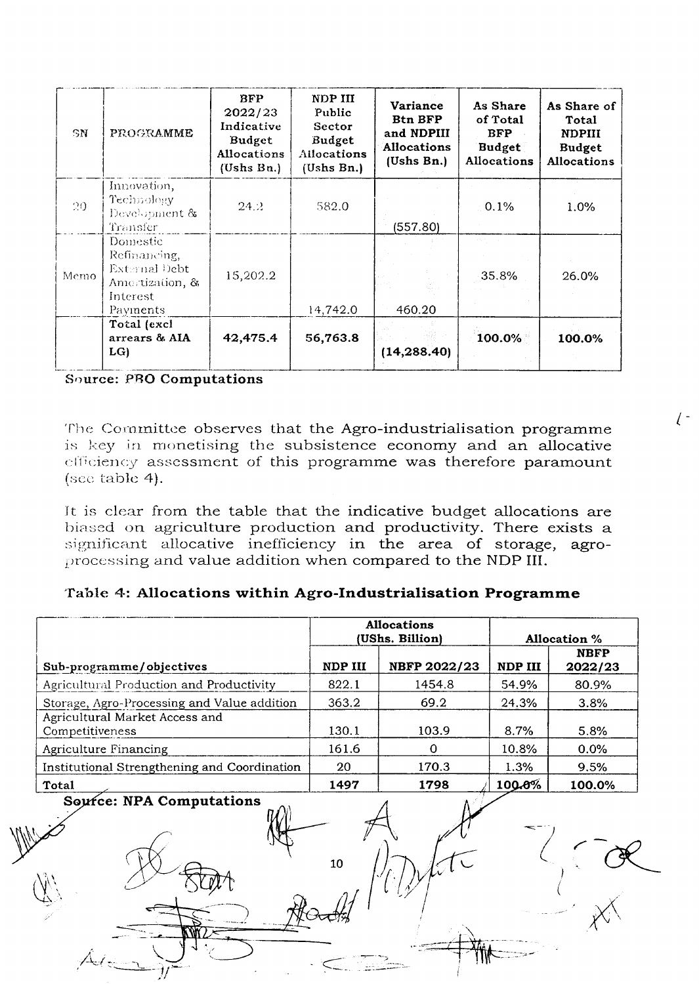| SN   | PROGRAMME                                                                            | <b>BFP</b><br>2022/23<br>Indicative<br>Budget<br><b>Allocations</b><br>(Ushs Bn.) | NDP III<br>Public<br>Sector<br>Budget<br>Allocations<br>(Ushs Bn.) | Variance<br><b>Btn BFP</b><br>and NDPIII<br><b>Allocations</b><br>(Ushs Bn.) | As Share<br>of Total<br><b>BFP</b><br><b>Budget</b><br><b>Allocations</b> | As Share of<br>Total<br><b>NDPIII</b><br><b>Budget</b><br><b>Allocations</b> |
|------|--------------------------------------------------------------------------------------|-----------------------------------------------------------------------------------|--------------------------------------------------------------------|------------------------------------------------------------------------------|---------------------------------------------------------------------------|------------------------------------------------------------------------------|
| 20   | Innovation,<br>Technology<br>Development &<br>Transfer                               | 24.2.                                                                             | 582.0                                                              | (557.80)                                                                     | 0.1%                                                                      | $1.0\%$                                                                      |
| Memo | Domestic<br>Refinancing,<br>External Debt<br>Amertization, &<br>Interest<br>Payments | 15,202.2                                                                          | 14,742.0                                                           | 460.20                                                                       | 35.8%                                                                     | 26.0%                                                                        |
|      | Total (excl<br>arrears & AIA<br>LG                                                   | 42,475.4                                                                          | 56,763.8                                                           | (14,288.40)                                                                  | 100.0%                                                                    | 100.0%                                                                       |

Source: PBO Computations

The Committee observes that the Agro-industrialisation programme is key in monetising the subsistence economy and an allocative efficiency assessment of this programme was therefore paramount (see table 4).

It is clear from the table that the indicative budget allocations are biased on agriculture production and productivity. There exists a significant allocative inefficiency in the area of storage, agroprocessing and value addition when compared to the NDP III.

# Table 4: Allocations within Agro-Industrialisation Programme

|                                                   | <b>Allocations</b><br>(UShs. Billion) |              | <b>Allocation</b> % |                        |
|---------------------------------------------------|---------------------------------------|--------------|---------------------|------------------------|
| Sub-programme/objectives                          | NDP III                               | NBFP 2022/23 | NDP III             | <b>NBFP</b><br>2022/23 |
| Agricultural Production and Productivity          | 822.1                                 | 1454.8       | 54.9%               | 80.9%                  |
| Storage, Agro-Processing and Value addition       | 363.2                                 | 69.2         | 24.3%               | 3.8%                   |
| Agricultural Market Access and<br>Competitiveness | 130.1                                 | 103.9        | 8.7%                | 5.8%                   |
| Agriculture Financing                             | 161.6                                 |              | 10.8%               | $0.0\%$                |
| Institutional Strengthening and Coordination      | 20                                    | 170.3        | 1.3%                | 9.5%                   |
| Total                                             | 1497                                  | 1798         | 100.0%              | 100.0%                 |

10

Source: NPA Computations

 $\left( \begin{array}{c} - \end{array} \right)$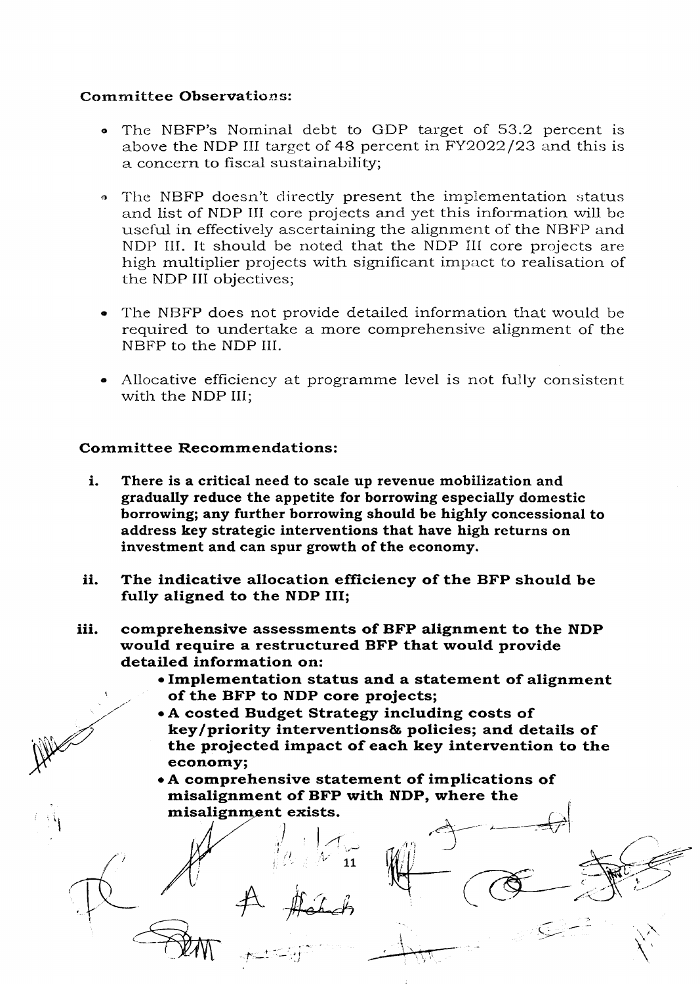# **Committee Observations:**

- The NBFP's Nominal debt to GDP target of 53.2 percent is  $\bullet$ above the NDP III target of 48 percent in FY2022/23 and this is a concern to fiscal sustainability;
- The NBFP doesn't directly present the implementation status and list of NDP III core projects and yet this information will be useful in effectively ascertaining the alignment of the NBFP and NDP III. It should be noted that the NDP III core projects are high multiplier projects with significant impact to realisation of the NDP III objectives;
- The NBFP does not provide detailed information that would be required to undertake a more comprehensive alignment of the NBFP to the NDP III.
- Allocative efficiency at programme level is not fully consistent with the NDP III:

# **Committee Recommendations:**

- i. There is a critical need to scale up revenue mobilization and gradually reduce the appetite for borrowing especially domestic borrowing; any further borrowing should be highly concessional to address key strategic interventions that have high returns on investment and can spur growth of the economy.
- ii. The indicative allocation efficiency of the BFP should be fully aligned to the NDP III;
- comprehensive assessments of BFP alignment to the NDP iii. would require a restructured BFP that would provide detailed information on:
	- Implementation status and a statement of alignment of the BFP to NDP core projects;
	- A costed Budget Strategy including costs of key/priority interventions& policies; and details of the projected impact of each key intervention to the economy;
	- A comprehensive statement of implications of misalignment of BFP with NDP, where the misalignment exists.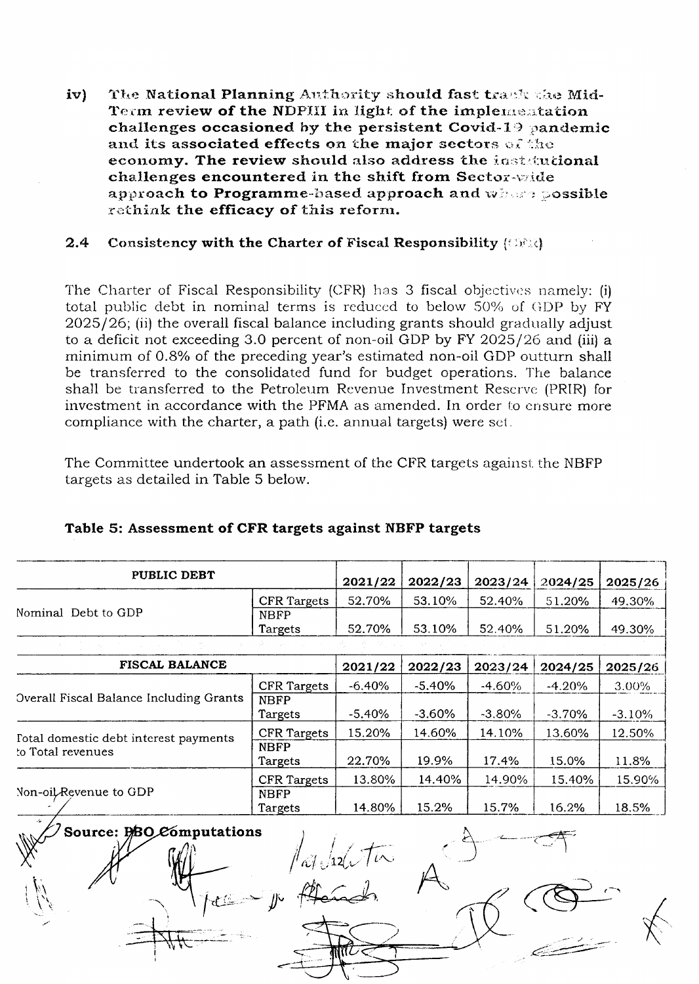The National Planning Authority should fast track the Midiv) Term review of the NDPIII in light of the implementation challenges occasioned by the persistent Covid-19 pandemic and its associated effects on the major sectors of the economy. The review should also address the instatutional challenges encountered in the shift from Sector-wide approach to Programme-based approach and where possible rethink the efficacy of this reform.

#### $2.4$ Consistency with the Charter of Fiscal Responsibility (ORR)

The Charter of Fiscal Responsibility (CFR) has 3 fiscal objectives namely: (i) total public debt in nominal terms is reduced to below 50% of GDP by FY  $2025/26$ ; (ii) the overall fiscal balance including grants should gradually adjust to a deficit not exceeding 3.0 percent of non-oil GDP by FY 2025/26 and (iii) a minimum of 0.8% of the preceding year's estimated non-oil GDP outturn shall be transferred to the consolidated fund for budget operations. The balance shall be transferred to the Petroleum Revenue Investment Reserve (PRIR) for investment in accordance with the PFMA as amended. In order to ensure more compliance with the charter, a path (i.e. annual targets) were set.

The Committee undertook an assessment of the CFR targets against the NBFP targets as detailed in Table 5 below.

| PUBLIC DEBT                             |                    | 2021/22  | 2022/23   | 2023/24  | 2024/25  | 2025/26  |
|-----------------------------------------|--------------------|----------|-----------|----------|----------|----------|
|                                         | <b>CFR</b> Targets | 52.70%   | 53.10%    | 52.40%   | 51.20%   | 49.30%   |
| Nominal Debt to GDP                     | <b>NBFP</b>        |          |           |          |          |          |
|                                         | Targets            | 52.70%   | 53.10%    | 52.40%   | 51.20%   | 49.30%   |
|                                         |                    |          |           |          |          |          |
| <b>FISCAL BALANCE</b>                   |                    | 2021/22  | 2022/23   | 2023/24  | 2024/25  | 2025/26  |
|                                         | <b>CFR Targets</b> | $-6.40%$ | $-5.40%$  | $-4.60%$ | $-4.20%$ | 3.00%    |
| Overall Fiscal Balance Including Grants | <b>NBFP</b>        |          |           |          |          |          |
|                                         | Targets            | $-5.40%$ | $-3.60\%$ | $-3.80%$ | $-3.70%$ | $-3.10%$ |
| Total domestic debt interest payments   | <b>CFR Targets</b> | 15.20%   | 14.60%    | 14.10%   | 13.60%   | 12.50%   |
| to Total revenues                       | <b>NBFP</b>        |          |           |          |          |          |
|                                         | Targets            | 22.70%   | 19.9%     | 17.4%    | 15.0%    | 11.8%    |
|                                         | <b>CFR</b> Targets | 13.80%   | 14.40%    | 14.90%   | 15.40%   | 15.90%   |
| Non-oil Revenue to GDP                  | <b>NBFP</b>        |          |           |          |          |          |
|                                         | Targets            | 14.80%   | 15.2%     | 15.7%    | 16.2%    | 18.5%    |
| Source: DBO Computations                |                    |          |           |          |          |          |

# Table 5: Assessment of CFR targets against NBFP targets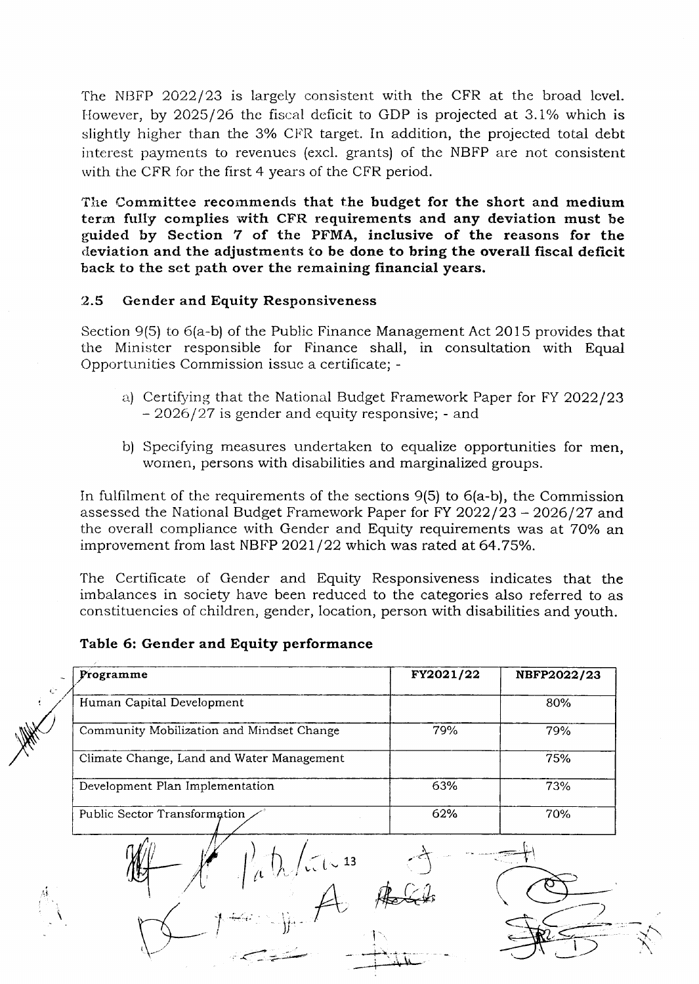The NBFP 2022/23 is largely consistent with the CFR at the broad level. However, by  $2025/26$  the fiscal deficit to GDP is projected at 3.1% which is slightly higher than the 3% CFR target. In addition, the projected total debt interest payments to revenues (excl. grants) of the NBFP are not consistent with the CFR for the first 4 years of the CFR period.

The Committee recommends that the budget for the short and medium term fully complies with CFR requirements and any deviation must be guided by Section 7 of the PFMA, inclusive of the reasons for the deviation and the adjustments to be done to bring the overall fiscal deficit back to the set path over the remaining financial years.

#### 2.5 Gender and Equity Responsiveness

Section 9(5) to 6(a-b) of the Public Finance Management Act 2O15 provides that the Ministcr responsible for Finance shall, in consultation with Equal Opportunities Commission issue a certificate; -

- a) Certifying that the National Budget Framework Paper for FY 2022/23  $-2026/27$  is gender and equity responsive; - and
- b) Specifying measures undertaken to equalize opportunities for men, wornen, persons with disabilities and marginalized groups.

In fulfilment of the requirements of the sections 9(5) to 6(a-b), the Commission assessed the National Budget Framework Paper for FY 2022/23 - 2026/27 and the overall compliance with Gender and Equity requirements was at 70% an improvement from last NBFP  $2021/22$  which was rated at 64.75%.

The Certificate of Gender and Equity Responsiveness indicates that the imbalances in society have been reduced to the categories also referred to as constituencies of children, gender, location, person with disabilities and youth.

#### Table 6: Gender and Equity performance

| Programme                                 | FY2021/22 | NBFP2022/23 |
|-------------------------------------------|-----------|-------------|
| Human Capital Development                 |           | 80%         |
| Community Mobilization and Mindset Change | 79%       | 79%         |
| Climate Change, Land and Water Management |           | 75%         |
| Development Plan Implementation           | 63%       | 73%         |
| Public Sector Transformation              | 62%       | 70%         |
| $\mu$ (h/ii 13                            |           |             |
|                                           |           |             |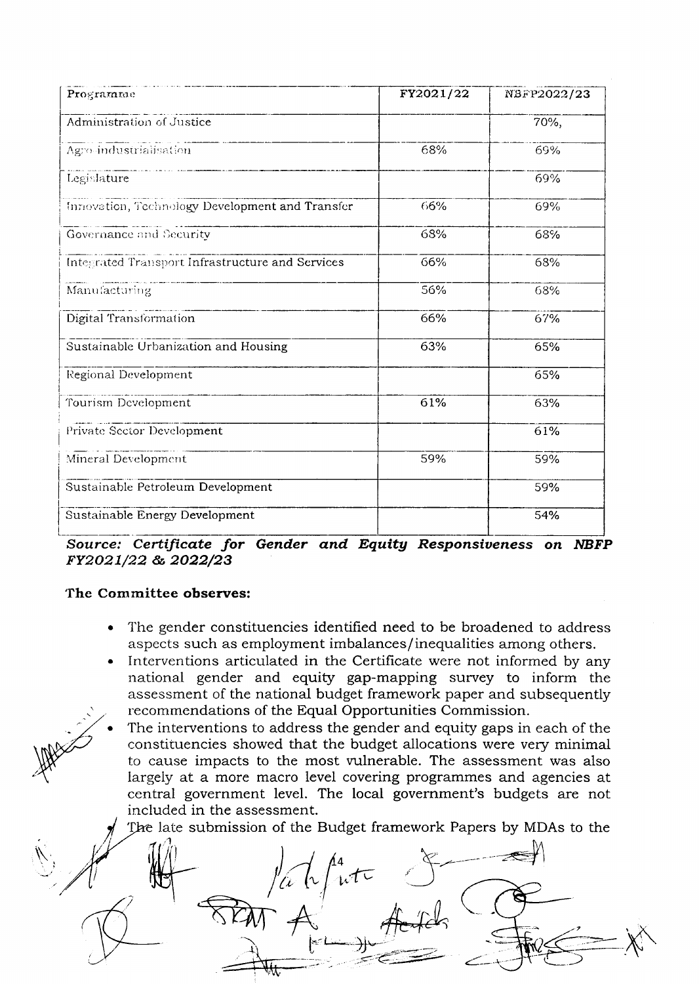| Programme                                        | FY2021/22 | NBFP2022/23 |
|--------------------------------------------------|-----------|-------------|
| Administration of Justice                        |           | 70%,        |
| Agro-industrialisation                           | 68%       | 69%         |
| Legislature                                      |           | 69%         |
| Innovation, Technology Development and Transfer  | 66%       | 69%         |
| Governance and Security                          | 68%       | 68%         |
| Integrated Transport Infrastructure and Services | 66%       | 68%         |
| Manufacturing                                    | 56%       | 68%         |
| Digital Transformation                           | 66%       | 67%         |
| Sustainable Urbanization and Housing             | 63%       | 65%         |
| Regional Development                             |           | 65%         |
| Tourism Development                              | 61%       | 63%         |
| Private Sector Development                       |           | 61%         |
| Mineral Development                              | 59%       | 59%         |
| Sustainable Petroleum Development                |           | 59%         |
| Sustainable Energy Development                   |           | 54%         |

Source: Certificate for Gender and Equity Responsiveness on NBFP FY2021/22 & 2022/23

# The Committee observes:

- The gender constituencies identified need to be broadened to address aspects such as employment imbalances/inequalities among others.
- Interventions articulated in the Certificate were not informed by any national gender and equity gap-mapping survey to inform the assessment of the national budget framework paper and subsequently recommendations of the Equal Opportunities Commission.
- The interventions to address the gender and equity gaps in each of the constituencies showed that the budget allocations were very minimal to cause impacts to the most vulnerable. The assessment was also largely at a more macro level covering programmes and agencies at central government level. The local government's budgets are not included in the assessment.

The late submission of the Budget framework Papers by MDAs to the